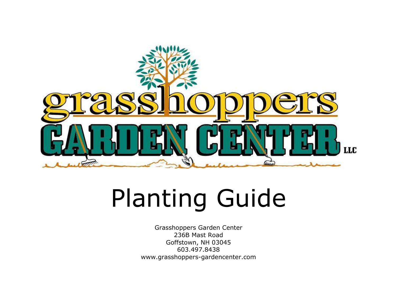

## Planting Guide

Grasshoppers Garden Center 236B Mast Road Goffstown, NH 03045 603.497.8438 www.grasshoppers-gardencenter.com